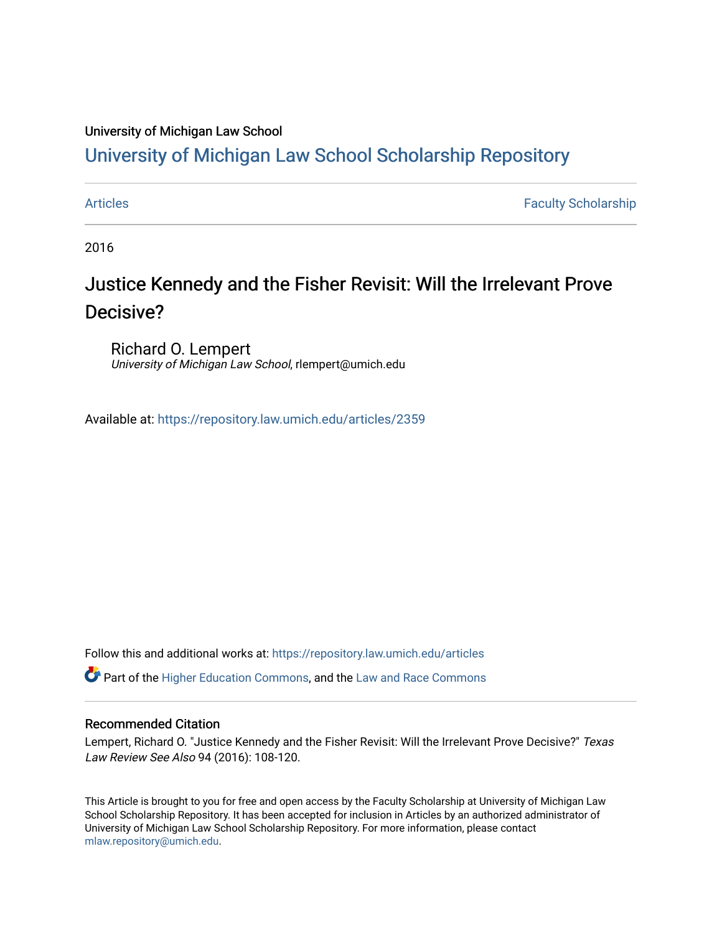### University of Michigan Law School

# [University of Michigan Law School Scholarship Repository](https://repository.law.umich.edu/)

[Articles](https://repository.law.umich.edu/articles) **Faculty Scholarship** Faculty Scholarship

2016

# Justice Kennedy and the Fisher Revisit: Will the Irrelevant Prove Decisive?

Richard O. Lempert University of Michigan Law School, rlempert@umich.edu

Available at: <https://repository.law.umich.edu/articles/2359>

Follow this and additional works at: [https://repository.law.umich.edu/articles](https://repository.law.umich.edu/articles?utm_source=repository.law.umich.edu%2Farticles%2F2359&utm_medium=PDF&utm_campaign=PDFCoverPages) 

 $\bullet$  Part of the [Higher Education Commons,](http://network.bepress.com/hgg/discipline/1245?utm_source=repository.law.umich.edu%2Farticles%2F2359&utm_medium=PDF&utm_campaign=PDFCoverPages) and the Law and Race Commons

#### Recommended Citation

Lempert, Richard O. "Justice Kennedy and the Fisher Revisit: Will the Irrelevant Prove Decisive?" Texas Law Review See Also 94 (2016): 108-120.

This Article is brought to you for free and open access by the Faculty Scholarship at University of Michigan Law School Scholarship Repository. It has been accepted for inclusion in Articles by an authorized administrator of University of Michigan Law School Scholarship Repository. For more information, please contact [mlaw.repository@umich.edu.](mailto:mlaw.repository@umich.edu)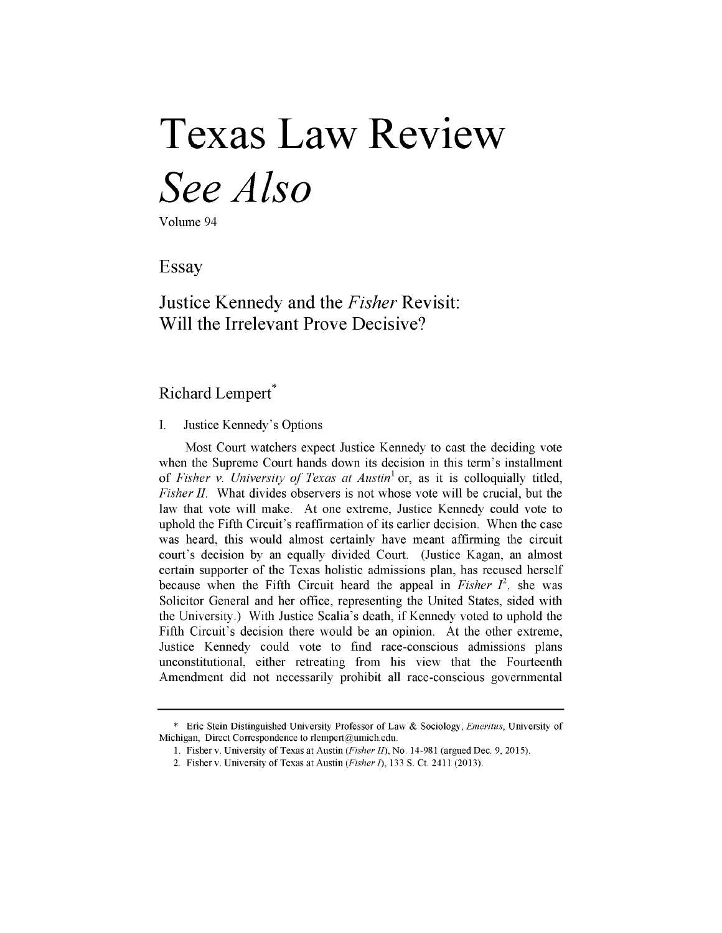# **Texas Law Review** *See Also*

Volume 94

Essay

Justice Kennedy and the *Fisher* Revisit: Will the Irrelevant Prove Decisive?

## Richard Lempert<sup>\*</sup>

#### I. Justice Kennedy's Options

Most Court watchers expect Justice Kennedy to cast the deciding vote when the Supreme Court hands down its decision in this term's installment of *Fisher v. University of Texas at Austin'* or, as it is colloquially titled, *Fisher II.* What divides observers is not whose vote will be crucial, but the law that vote will make. At one extreme, Justice Kennedy could vote to uphold the Fifth Circuit's reaffirmation of its earlier decision. When the case was heard, this would almost certainly have meant affirming the circuit court's decision by an equally divided Court. (Justice Kagan, an almost certain supporter of the Texas holistic admissions plan, has recused herself because when the Fifth Circuit heard the appeal in *Fisher*  $I^2$ , she was Solicitor General and her office, representing the United States, sided with the University.) With Justice Scalia's death, if Kennedy voted to uphold the Fifth Circuit's decision there would be an opinion. At the other extreme, Justice Kennedy could vote to find race-conscious admissions plans unconstitutional, either retreating from his view that the Fourteenth Amendment did not necessarily prohibit all race-conscious governmental

<sup>\*</sup> Eric Stein Distinguished University Professor of Law & Sociology, *Emeritus,* University of Michigan, Direct Correspondence to rlempert@umich.edu.

<sup>1.</sup> Fisher v. University of Texas at Austin *(Fisher 1),* No. 14-981 (argued Dec. **9,** 2015).

<sup>2.</sup> Fishery. University of Texas at Austin *(Fisher 1),* 133 **S.** Ct. 2411 (2013).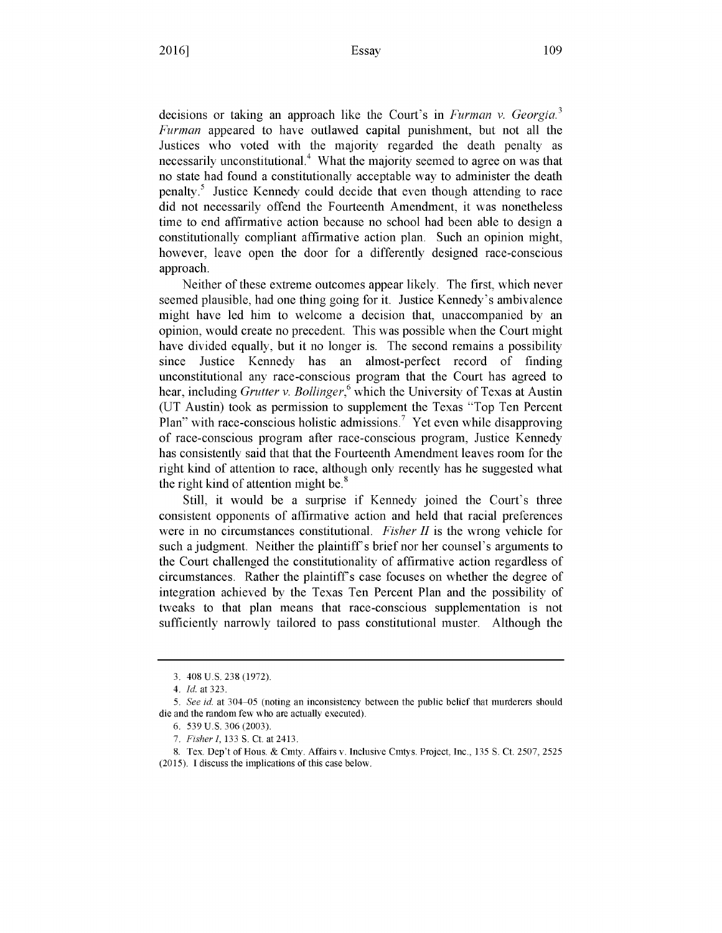decisions or taking an approach like the Court's in *Furman v. Georgia.<sup>3</sup> Furman* appeared to have outlawed capital punishment, but not all the Justices who voted with the majority regarded the death penalty as necessarily unconstitutional.<sup>4</sup> What the majority seemed to agree on was that no state had found a constitutionally acceptable way to administer the death penalty.5 Justice Kennedy could decide that even though attending to race did not necessarily offend the Fourteenth Amendment, it was nonetheless time to end affirmative action because no school had been able to design a constitutionally compliant affirmative action plan. Such an opinion might, however, leave open the door for a differently designed race-conscious approach.

Neither of these extreme outcomes appear likely. The first, which never seemed plausible, had one thing going for it. Justice Kennedy's ambivalence might have led him to welcome a decision that, unaccompanied by an opinion, would create no precedent. This was possible when the Court might have divided equally, but it no longer is. The second remains a possibility since Justice Kennedy has an almost-perfect record of finding unconstitutional any race-conscious program that the Court has agreed to hear, including *Grutter v. Bollinger,6* which the University of Texas at Austin (UT Austin) took as permission to supplement the Texas "Top Ten Percent Plan" with race-conscious holistic admissions.<sup>7</sup> Yet even while disapproving of race-conscious program after race-conscious program, Justice Kennedy has consistently said that that the Fourteenth Amendment leaves room for the right kind of attention to race, although only recently has he suggested what the right kind of attention might be. $8<sup>8</sup>$ 

Still, it would be a surprise if Kennedy joined the Court's three consistent opponents of affirmative action and held that racial preferences were in no circumstances constitutional. *Fisher II* is the wrong vehicle for such a judgment. Neither the plaintiff's brief nor her counsel's arguments to the Court challenged the constitutionality of affirmative action regardless of circumstances. Rather the plaintiffs case focuses on whether the degree of integration achieved by the Texas Ten Percent Plan and the possibility of tweaks to that plan means that race-conscious supplementation is not sufficiently narrowly tailored to pass constitutional muster. Although the

<sup>3. 408</sup> U.S. 238 (1972).

*<sup>4.</sup> Id.* at 323.

<sup>5.</sup> *See id.* at 304-05 (noting an inconsistency between the public belief that murderers should die and the random few who are actually executed).

**<sup>6.</sup>** 539 U.S. **306 (2003).**

<sup>7.</sup> *Fisher 1,* 133 S. Ct. at 2413.

<sup>8.</sup> Tex. Dep't of Hous. & Cmty. Affairs v. Inclusive Cmtys. Project, Inc., 135 S. Ct. 2507, 2525 (2015). I discuss the implications of this case below.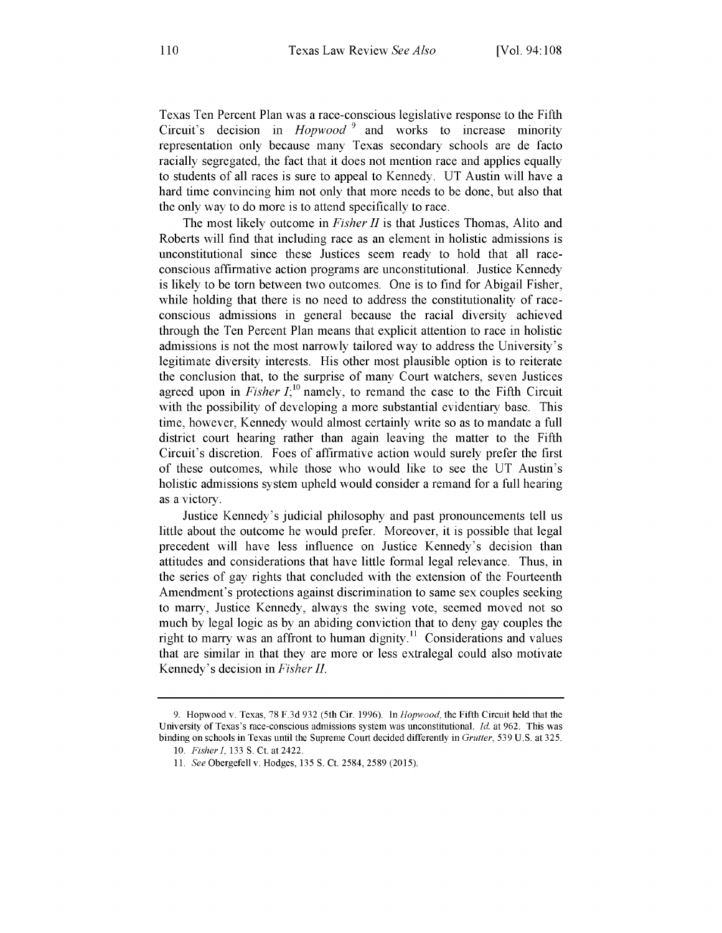Texas Ten Percent Plan was a race-conscious legislative response to the Fifth Circuit's decision in *Hopwood* **9** and works to increase minority representation only because many Texas secondary schools are de facto racially segregated, the fact that it does not mention race and applies equally to students of all races is sure to appeal to Kennedy. UT Austin will have a hard time convincing him not only that more needs to be done, but also that the only way to do more is to attend specifically to race.

The most likely outcome in *Fisher II* is that Justices Thomas, Alito and Roberts will find that including race as an element in holistic admissions is unconstitutional since these Justices seem ready to hold that all raceconscious affirmative action programs are unconstitutional. Justice Kennedy is likely to be torn between two outcomes. One is to find for Abigail Fisher, while holding that there is no need to address the constitutionality of raceconscious admissions in general because the racial diversity achieved through the Ten Percent Plan means that explicit attention to race in holistic admissions is not the most narrowly tailored way to address the University's legitimate diversity interests. His other most plausible option is to reiterate the conclusion that, to the surprise of many Court watchers, seven Justices agreed upon in *Fisher I*<sup>10</sup> namely, to remand the case to the Fifth Circuit with the possibility of developing a more substantial evidentiary base. This time, however, Kennedy would almost certainly write so as to mandate a full district court hearing rather than again leaving the matter to the Fifth Circuit's discretion. Foes of affirmative action would surely prefer the first of these outcomes, while those who would like to see the UT Austin's holistic admissions system upheld would consider a remand for a full hearing as a victory.

Justice Kennedy's judicial philosophy and past pronouncements tell us little about the outcome he would prefer. Moreover, it is possible that legal precedent will have less influence on Justice Kennedy's decision than attitudes and considerations that have little formal legal relevance. Thus, in the series of gay rights that concluded with the extension of the Fourteenth Amendment's protections against discrimination to same sex couples seeking to marry, Justice Kennedy, always the swing vote, seemed moved not so much by legal logic as by an abiding conviction that to deny gay couples the right to marry was an affront to human dignity.<sup>11</sup> Considerations and values that are similar in that they are more or less extralegal could also motivate Kennedy's decision in *Fisher II.*

<sup>9.</sup> Hopwood v. Texas, 78 F.3d 932 (5th Cir. 1996). In *Hopwood,* the Fifth Circuit held that the University of Texas's race-conscious admissions system was unconstitutional. *Id.* at 962. This was binding on schools in Texas until the Supreme Court decided differently in *Grutter,* 539 U.S. at 325.

<sup>10.</sup> *Fisher,* 133 **S.** Ct. at 2422.

<sup>11.</sup> *See* Obergefell v. Hodges, 135 **S.** Ct. 2584, 2589 (2015).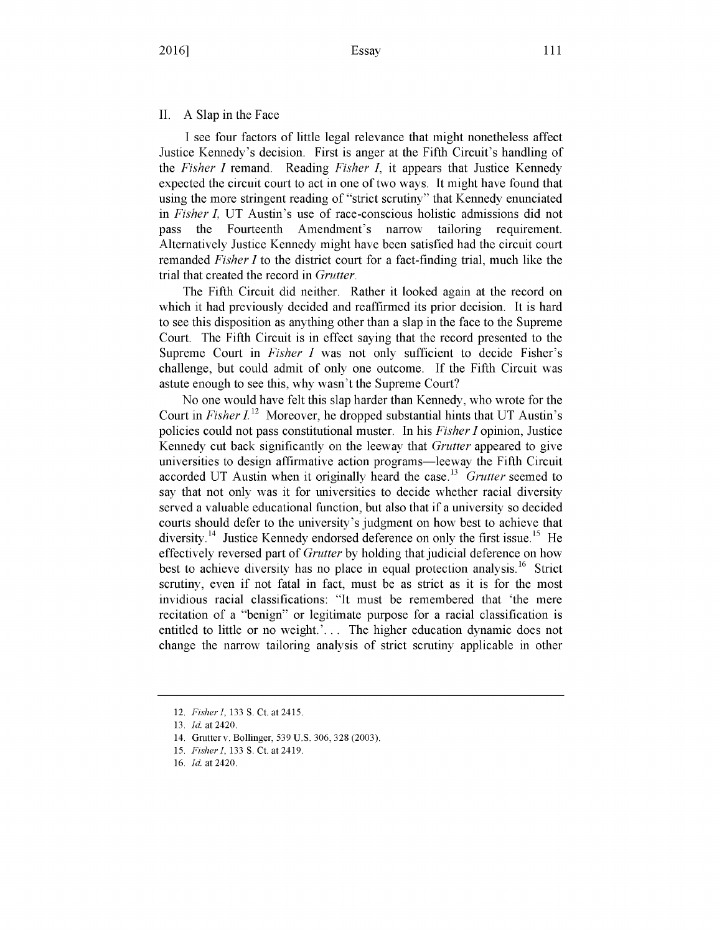#### II. A Slap in the Face

I see four factors of little legal relevance that might nonetheless affect Justice Kennedy's decision. First is anger at the Fifth Circuit's handling of the *Fisher I* remand. Reading *Fisher ,* it appears that Justice Kennedy expected the circuit court to act in one of two ways. It might have found that using the more stringent reading of "strict scrutiny" that Kennedy enunciated in *Fisher I,* UT Austin's use of race-conscious holistic admissions did not pass the Fourteenth Amendment's narrow tailoring requirement. Alternatively Justice Kennedy might have been satisfied had the circuit court remanded *Fisher I* to the district court for a fact-finding trial, much like the trial that created the record in *Grutter.*

The Fifth Circuit did neither. Rather it looked again at the record on which it had previously decided and reaffirmed its prior decision. It is hard to see this disposition as anything other than a slap in the face to the Supreme Court. The Fifth Circuit is in effect saying that the record presented to the Supreme Court in *Fisher I* was not only sufficient to decide Fisher's challenge, but could admit of only one outcome. If the Fifth Circuit was astute enough to see this, why wasn't the Supreme Court?

No one would have felt this slap harder than Kennedy, who wrote for the Court in *Fisher*  $I^{12}$  Moreover, he dropped substantial hints that UT Austin's policies could not pass constitutional muster. In his *Fisher I* opinion, Justice Kennedy cut back significantly on the leeway that *Grutter* appeared to give universities to design affirmative action programs—leeway the Fifth Circuit accorded UT Austin when it originally heard the case.<sup>13</sup> Grutter seemed to say that not only was it for universities to decide whether racial diversity served a valuable educational function, but also that if a university so decided courts should defer to the university's judgment on how best to achieve that diversity.<sup>14</sup> Justice Kennedy endorsed deference on only the first issue.<sup>15</sup> He effectively reversed part of *Grutter* by holding that judicial deference on how best to achieve diversity has no place in equal protection analysis.<sup>16</sup> Strict scrutiny, even if not fatal in fact, must be as strict as it is for the most invidious racial classifications: "It must be remembered that 'the mere recitation of a "benign" or legitimate purpose for a racial classification is entitled to little or no weight.<sup>2</sup>... The higher education dynamic does not change the narrow tailoring analysis of strict scrutiny applicable in other

<sup>12.</sup> *Fisher1,* 133 S. Ct. at 2415.

<sup>13.</sup> Id. at 2420.

<sup>14.</sup> Grutterv. Bollinger, 539 U.S. 306, 328 (2003).

<sup>15.</sup> *Fisher1,* 133 **S.** Ct. at 2419.

<sup>16.</sup> Id. at 2420.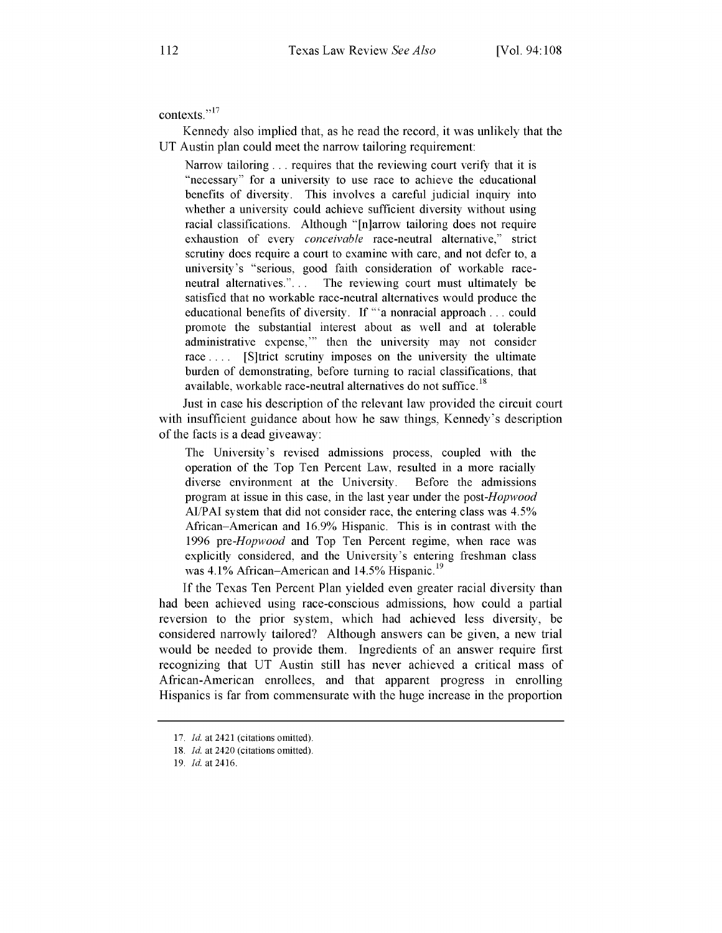contexts."<sup>17</sup>

Kennedy also implied that, as he read the record, it was unlikely that the UT Austin plan could meet the narrow tailoring requirement:

Narrow tailoring  $\ldots$  requires that the reviewing court verify that it is "necessary" for a university to use race to achieve the educational benefits of diversity. This involves a careful judicial inquiry into whether a university could achieve sufficient diversity without using racial classifications. Although "[n]arrow tailoring does not require exhaustion of every *conceivable* race-neutral alternative," strict scrutiny does require a court to examine with care, and not defer to, a university's "serious, good faith consideration of workable raceneutral alternatives."... The reviewing court must ultimately be satisfied that no workable race-neutral alternatives would produce the educational benefits of diversity. If "'a nonracial approach **...** could promote the substantial interest about as well and at tolerable administrative expense,"' then the university may not consider race .... [S]trict scrutiny imposes on the university the ultimate burden of demonstrating, before turning to racial classifications, that available, workable race-neutral alternatives do not suffice.<sup>18</sup>

Just in case his description of the relevant law provided the circuit court with insufficient guidance about how he saw things, Kennedy's description of the facts is a dead giveaway:

The University's revised admissions process, coupled with the operation of the Top Ten Percent Law, resulted in a more racially diverse environment at the University. Before the admissions program at issue in this case, in the last year under the *post-Hopwood* **AI/PAI** system that did not consider race, the entering class was 4.5% African-American and 16.9% Hispanic. This is in contrast with the 1996 *pre-Hopwood* and Top Ten Percent regime, when race was explicitly considered, and the University's entering freshman class was  $4.1\%$  African–American and  $14.5\%$  Hispanic.<sup>19</sup>

If the Texas Ten Percent Plan yielded even greater racial diversity than had been achieved using race-conscious admissions, how could a partial reversion to the prior system, which had achieved less diversity, be considered narrowly tailored? Although answers can be given, a new trial would be needed to provide them. Ingredients of an answer require first recognizing that UT Austin still has never achieved a critical mass of African-American enrollees, and that apparent progress in enrolling Hispanics is far from commensurate with the huge increase in the proportion

<sup>17.</sup> *Id.* at 2421 (citations omitted).

<sup>18.</sup> *Id.* at 2420 (citations omitted).

<sup>19.</sup> *Id.* at 2416.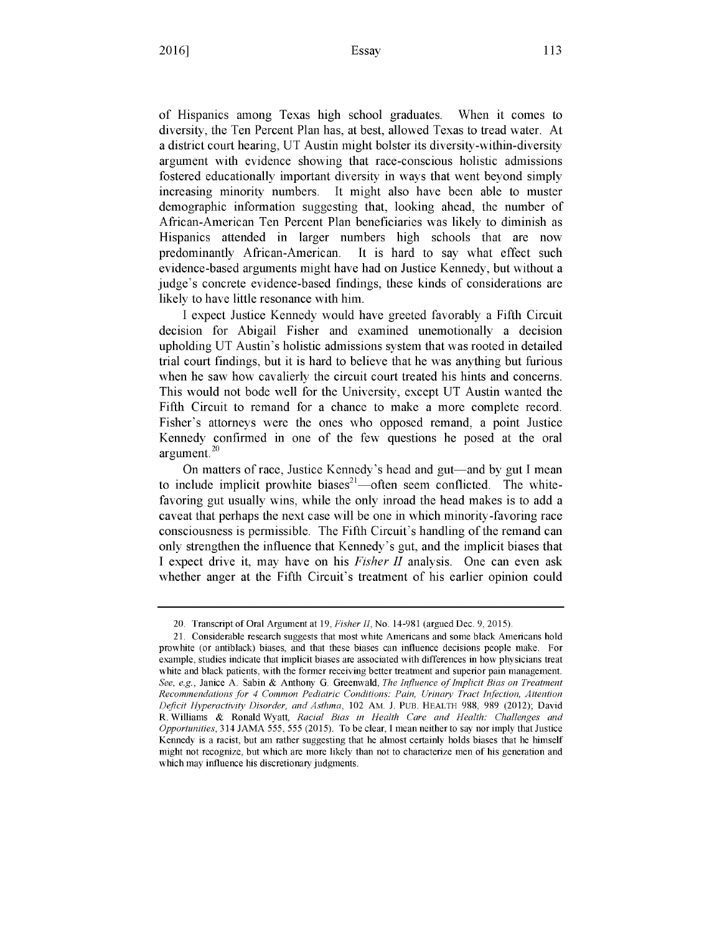113

of Hispanics among Texas high school graduates. When it comes to diversity, the Ten Percent Plan has, at best, allowed Texas to tread water. At a district court hearing, UT Austin might bolster its diversity-within-diversity argument with evidence showing that race-conscious holistic admissions fostered educationally important diversity in ways that went beyond simply increasing minority numbers. It might also have been able to muster demographic information suggesting that, looking ahead, the number of African-American Ten Percent Plan beneficiaries was likely to diminish as Hispanics attended in larger numbers high schools that are now predominantly African-American. It is hard to say what effect such evidence-based arguments might have had on Justice Kennedy, but without a judge's concrete evidence-based findings, these kinds of considerations are likely to have little resonance with him.

I expect Justice Kennedy would have greeted favorably a Fifth Circuit decision for Abigail Fisher and examined unemotionally a decision upholding UT Austin's holistic admissions system that was rooted in detailed trial court findings, but it is hard to believe that he was anything but furious when he saw how cavalierly the circuit court treated his hints and concerns. This would not bode well for the University, except UT Austin wanted the Fifth Circuit to remand for a chance to make a more complete record. Fisher's attorneys were the ones who opposed remand, a point Justice Kennedy confirmed in one of the few questions he posed at the oral argument.<sup>20</sup>

On matters of race, Justice Kennedy's head and gut—and by gut I mean to include implicit prowhite biases<sup>21</sup>—often seem conflicted. The whitefavoring gut usually wins, while the only inroad the head makes is to add a caveat that perhaps the next case will be one in which minority-favoring race consciousness is permissible. The Fifth Circuit's handling of the remand can only strengthen the influence that Kennedy's gut, and the implicit biases that I expect drive it, may have on his *Fisher II* analysis. One can even ask whether anger at the Fifth Circuit's treatment of his earlier opinion could

<sup>20.</sup> Transcript of Oral Argument at 19, *Fisher H,* No. 14-981 (argued Dec. 9, 2015).

<sup>21.</sup> Considerable research suggests that most white Americans and some black Americans hold prowhite (or antiblack) biases, and that these biases can influence decisions people make. For example, studies indicate that implicit biases are associated with differences in how physicians treat white and black patients, with the former receiving better treatment and superior pain management. *See, e.g.,* Janice A. Sabin & Anthony G. Greenwald, *The Influence of Implicit Bias on Treatment Recommendations for 4 Common Pediatric Conditions: Pain, Urinary Tract Infection, Attention Deficit Hyperactivity Disorder, and Asthma,* 102 AM. J. PUB. HEALTH 988, 989 (2012); David R. Williams & Ronald Wyatt, *Racial Bias in Health Care and Health: Challenges and Opportunities, 314 JAMA 555, 555 (2015).* To be clear, I mean neither to say nor imply that Justice Kennedy is a racist, but am rather suggesting that he almost certainly holds biases that he himself might not recognize, but which are more likely than not to characterize men of his generation and which may influence his discretionary judgments.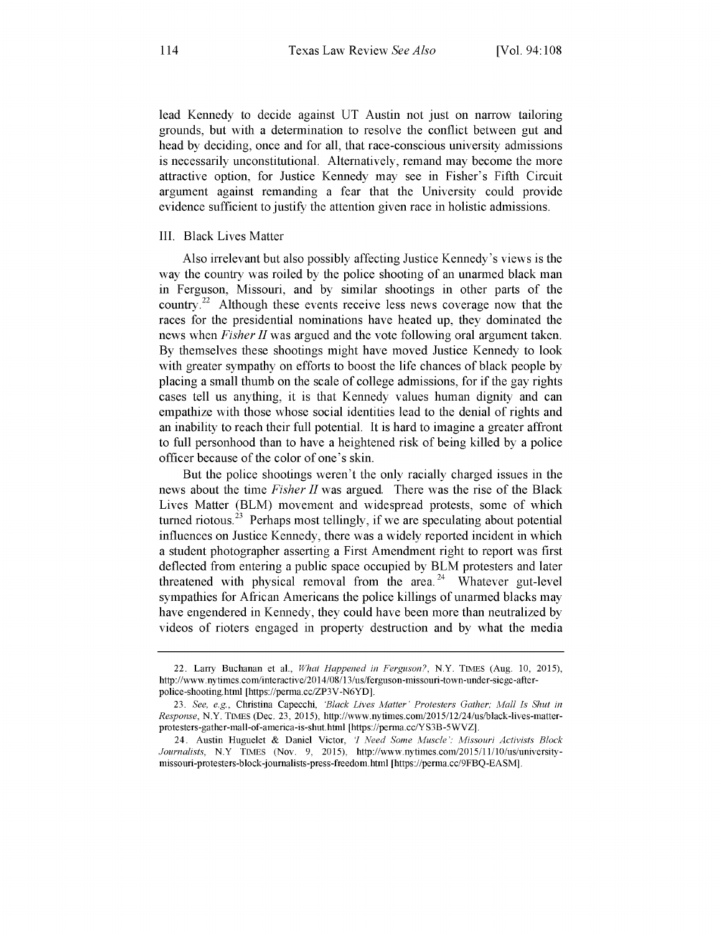lead Kennedy to decide against UT Austin not just on narrow tailoring grounds, but with a determination to resolve the conflict between gut and head by deciding, once and for all, that race-conscious university admissions is necessarily unconstitutional. Alternatively, remand may become the more attractive option, for Justice Kennedy may see in Fisher's Fifth Circuit argument against remanding a fear that the University could provide evidence sufficient to justify the attention given race in holistic admissions.

#### III. Black Lives Matter

Also irrelevant but also possibly affecting Justice Kennedy's views is the way the country was roiled by the police shooting of an unarmed black man in Ferguson, Missouri, and by similar shootings in other parts of the country.<sup>22</sup> Although these events receive less news coverage now that the races for the presidential nominations have heated up, they dominated the news when *Fisher II* was argued and the vote following oral argument taken. By themselves these shootings might have moved Justice Kennedy to look with greater sympathy on efforts to boost the life chances of black people by placing a small thumb on the scale of college admissions, for if the gay rights cases tell us anything, it is that Kennedy values human dignity and can empathize with those whose social identities lead to the denial of rights and an inability to reach their full potential. It is hard to imagine a greater affront to full personhood than to have a heightened risk of being killed by a police officer because of the color of one's skin.

But the police shootings weren't the only racially charged issues in the news about the time *Fisher II* was argued. There was the rise of the Black Lives Matter (BLM) movement and widespread protests, some of which turned riotous.<sup>23</sup> Perhaps most tellingly, if we are speculating about potential influences on Justice Kennedy, there was a widely reported incident in which a student photographer asserting a First Amendment right to report was first deflected from entering a public space occupied by BLM protesters and later threatened with physical removal from the area. $24$  Whatever gut-level sympathies for African Americans the police killings of unarmed blacks may have engendered in Kennedy, they could have been more than neutralized by videos of rioters engaged in property destruction and by what the media

<sup>22.</sup> Larry Buchanan et al., *What Happened in Ferguson?,* N.Y. TIMES (Aug. 10, 2015), http://www.nytimes.com/interactive/2014/08/1 3/us/ferguson-missouri-town-under-siege-afterpolice-shooting.html [https://perma.cc/ZP3V-N6YD].

<sup>23.</sup> *See, e.g.,* Christina Capecchi, *'Black Lives AMfatter' Protesters Gather; Aall Is Shut in Response,* N.Y. TIMES (Dec. 23, 2015), http://www.nytimes.com/2015/12/24/us/black-lives-matterprotesters-gather-mall-of-america-is-shut.html [https://penna.cc/Y S3B-5WVZ].

<sup>24.</sup> Austin Huguelet & Daniel Victor, *I Need Some Muscle': Afissouri Activists Block* Journalists, N.Y TIMES (Nov. 9, 2015), http://www.nytimes.com/2015/11/10/us/universitymissouri-protesters-block-journalists-press-freedom.htm [https://penna.cc/9FBQ-EASM].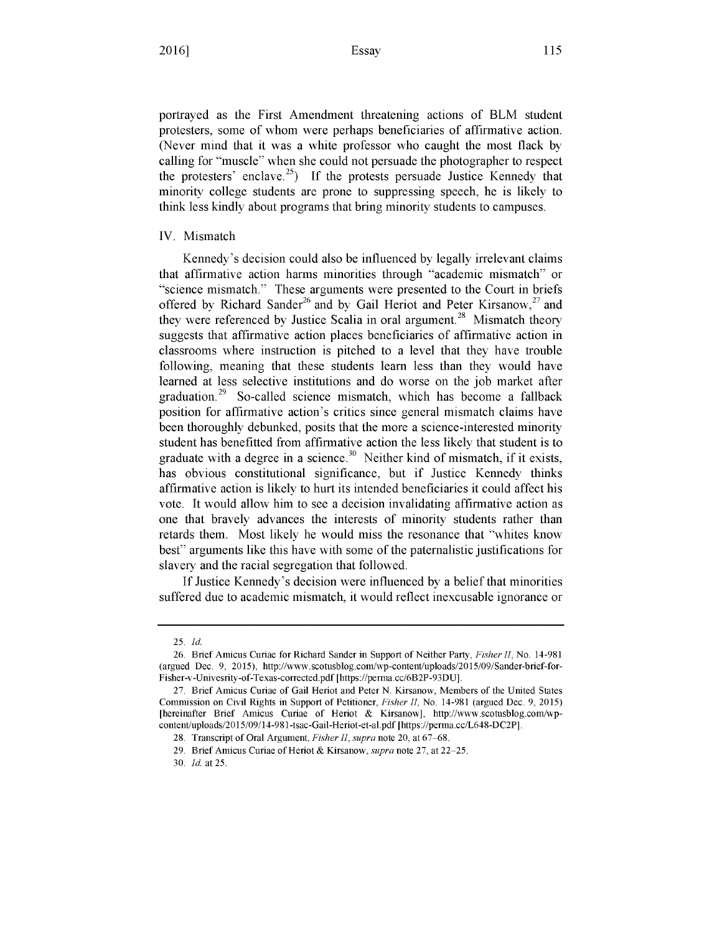portrayed as the First Amendment threatening actions of BLM student protesters, some of whom were perhaps beneficiaries of affirmative action. (Never mind that it was a white professor who caught the most flack by calling for "muscle" when she could not persuade the photographer to respect the protesters' enclave.<sup>25</sup>) If the protests persuade Justice Kennedy that minority college students are prone to suppressing speech, he is likely to think less kindly about programs that bring minority students to campuses.

#### IV. Mismatch

Kennedy's decision could also be influenced by legally irrelevant claims that affirmative action harms minorities through "academic mismatch" or science mismatch." These arguments were presented to the Court in briefs offered by Richard Sander<sup>26</sup> and by Gail Heriot and Peter Kirsanow,<sup>27</sup> and they were referenced by Justice Scalia in oral argument.<sup>28</sup> Mismatch theory suggests that affirmative action places beneficiaries of affirmative action in classrooms where instruction is pitched to a level that they have trouble following, meaning that these students learn less than they would have learned at less selective institutions and do worse on the job market after graduation.<sup>29</sup> So-called science mismatch, which has become a fallback position for affirmative action's critics since general mismatch claims have been thoroughly debunked, posits that the more a science-interested minority student has benefitted from affirmative action the less likely that student is to graduate with a degree in a science.<sup>30</sup> Neither kind of mismatch, if it exists, has obvious constitutional significance, but if Justice Kennedy thinks affirmative action is likely to hurt its intended beneficiaries it could affect his vote. It would allow him to see a decision invalidating affirmative action as one that bravely advances the interests of minority students rather than retards them. Most likely he would miss the resonance that "whites know best" arguments like this have with some of the paternalistic justifications for slavery and the racial segregation that followed.

If Justice Kennedy's decision were influenced by a belief that minorities suffered due to academic mismatch, it would reflect inexcusable ignorance or

<sup>25.</sup> *Id.*

<sup>26.</sup> Brief Amicus Curiae for Richard Sander in Support of Neither Party, *Fisher II,* No. 14-981 (argued Dec. 9, 2015), http://www.scotusblog.com/wp-content/uploads/2015/09/Sander-brief-for-Fisher-v-Univesrity-of-Texas-corrected.pdf [https://penna.cc/6B2P-93DU].

<sup>27.</sup> Brief Amicus Curiae of Gail Heriot and Peter N. Kirsanow, Members of the United States Commission on Civil Rights in Support of Petitioner, *Fisher II,* No. 14-981 (argued Dec. 9, 2015) [hereinafter Brief Amicus Curiae of Heriot & Kirsanow], http://www.scotusblog.comlwpcontent/uploads/2015/09/14-981-tsac-Gail-Heriot-et-al.pdf [https://penna.cc/L648-DC2P].

<sup>28.</sup> Transcript of Oral Argument, *Fisher II*, *supra* note 20, at 67–68.

<sup>29.</sup> Brief Amicus Curiae of Heriot & Kirsanow, *supra* note 27, at 22–25.

<sup>30.</sup> *Id.* at 25.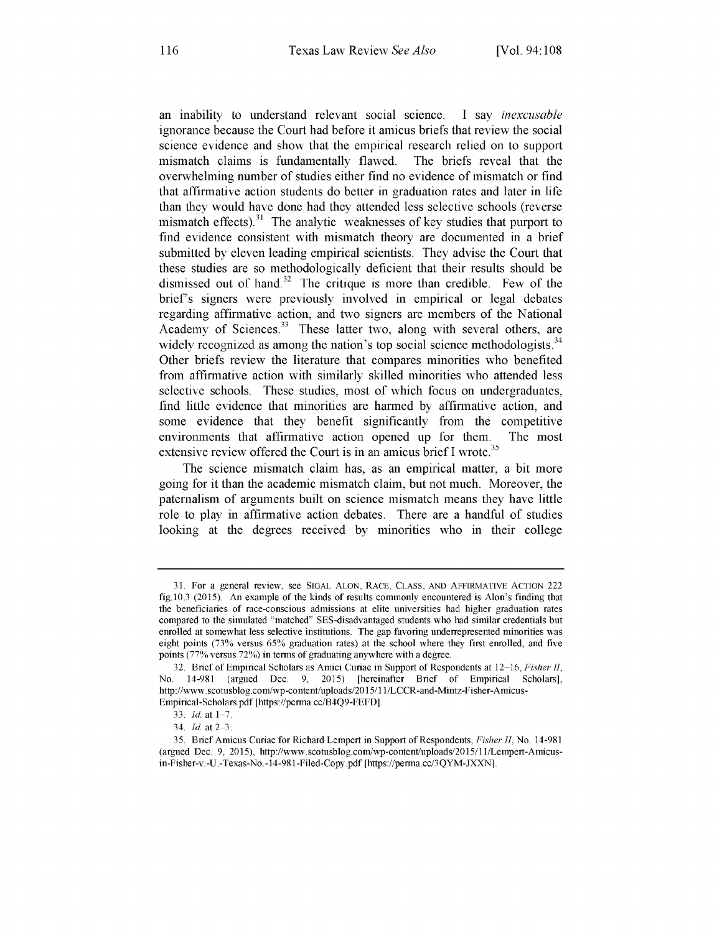an inability to understand relevant social science. I say *inexcusable* ignorance because the Court had before it amicus briefs that review the social science evidence and show that the empirical research relied on to support mismatch claims is fundamentally flawed. The briefs reveal that the overwhelming number of studies either find no evidence of mismatch or find that affirmative action students do better in graduation rates and later in life than they would have done had they attended less selective schools (reverse mismatch effects).<sup>31</sup> The analytic weaknesses of key studies that purport to find evidence consistent with mismatch theory are documented in a brief submitted by eleven leading empirical scientists. They advise the Court that these studies are so methodologically deficient that their results should be dismissed out of hand.<sup>32</sup> The critique is more than credible. Few of the brief's signers were previously involved in empirical or legal debates regarding affirmative action, and two signers are members of the National Academy of Sciences. $33$  These latter two, along with several others, are widely recognized as among the nation's top social science methodologists. $34$ Other briefs review the literature that compares minorities who benefited from affirmative action with similarly skilled minorities who attended less selective schools. These studies, most of which focus on undergraduates, find little evidence that minorities are harmed by affirmative action, and some evidence that they benefit significantly from the competitive environments that affirmative action opened up for them. The most extensive review offered the Court is in an amicus brief I wrote.<sup>35</sup>

The science mismatch claim has, as an empirical matter, a bit more going for it than the academic mismatch claim, but not much. Moreover, the paternalism of arguments built on science mismatch means they have little role to play in affirmative action debates. There are a handful of studies looking at the degrees received by minorities who in their college

<sup>31.</sup> For a general review, see SIGAL ALON, RACE, CLASS, AND AFFIRMATIVE ACTION 222 fig.10.3 (2015). An example of the kinds of results commonly encountered is Alon's finding that the beneficiaries of race-conscious admissions at elite universities had higher graduation rates compared to the simulated "matched" SES-disadvantaged students who had similar credentials but enrolled at somewhat less selective institutions. The gap favoring underrepresented minorities was eight points (73% versus 65% graduation rates) at the school where they first enrolled, and five points (77% versus 72%) in terms of graduating anywhere with a degree.

<sup>32.</sup> Brief of Empirical Scholars as Amici Curiae in Support of Respondents at 12 16, *Fisher II,* No. 14-981 (argued Dec. 9, 2015) [hereinafter Brief of Empirical Scholars], http://www.scotusblog.com/wp-content/uploads/2015/11/LCCR-and-Mintz-Fisher-Amicus-

Empirical-Scholars.pdf [https://perma.cc/B4Q9-FEFD].

<sup>33.</sup> *Id.* at 1-7.

<sup>34.</sup> *Id.* at 2-3.

<sup>35.</sup> Brief Amicus Curiae for Richard Lempert in Support of Respondents, *Fisher H,* No. 14-981 (argued Dec. 9, 2015), http://www.scotusblog.com/wp-content/uploads/2015/11/Lempert-Amicusin-Fisher-v.-U.-Texas-No.-14-981-Filed-Copy.pdf [https://perma.cc/3QYM-JXXN].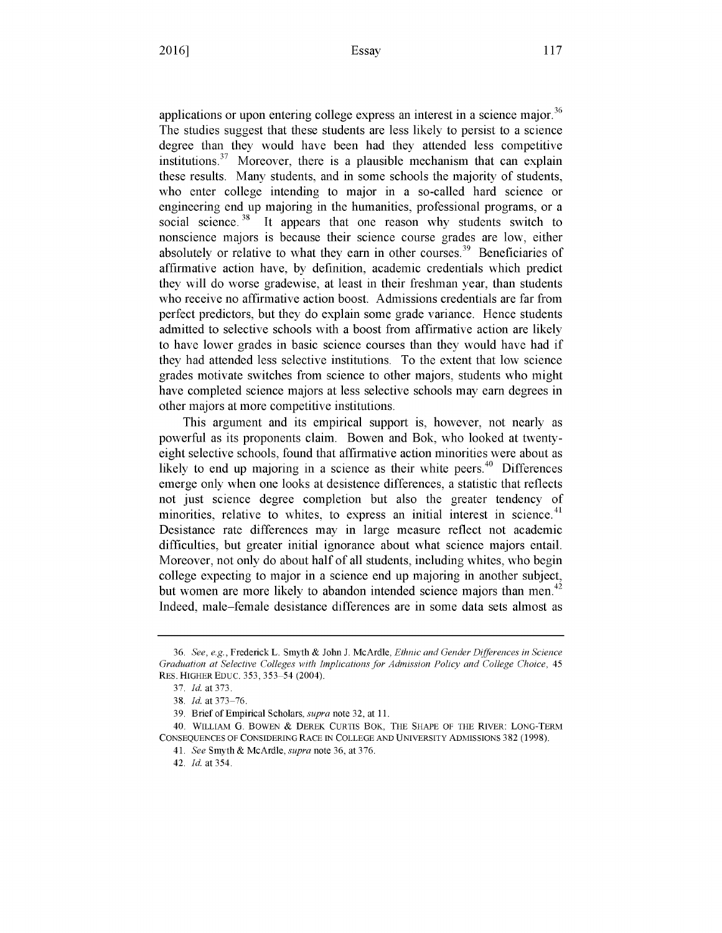applications or upon entering college express an interest in a science major.<sup>36</sup> The studies suggest that these students are less likely to persist to a science degree than they would have been had they attended less competitive institutions.<sup>37</sup> Moreover, there is a plausible mechanism that can explain these results. Many students, and in some schools the majority of students, who enter college intending to major in a so-called hard science or engineering end up majoring in the humanities, professional programs, or a social science.<sup>38</sup> It appears that one reason why students switch to nonscience majors is because their science course grades are low, either absolutely or relative to what they earn in other courses.<sup>39</sup> Beneficiaries of affirmative action have, by definition, academic credentials which predict they will do worse gradewise, at least in their freshman year, than students who receive no affirmative action boost. Admissions credentials are far from perfect predictors, but they do explain some grade variance. Hence students admitted to selective schools with a boost from affirmative action are likely to have lower grades in basic science courses than they would have had if they had attended less selective institutions. To the extent that low science grades motivate switches from science to other majors, students who might have completed science majors at less selective schools may earn degrees in other majors at more competitive institutions.

This argument and its empirical support is, however, not nearly as powerful as its proponents claim. Bowen and Bok, who looked at twentyeight selective schools, found that affirmative action minorities were about as likely to end up majoring in a science as their white peers.<sup>40</sup> Differences emerge only when one looks at desistence differences, a statistic that reflects not just science degree completion but also the greater tendency of minorities, relative to whites, to express an initial interest in science.<sup>41</sup> Desistance rate differences may in large measure reflect not academic difficulties, but greater initial ignorance about what science majors entail. Moreover, not only do about half of all students, including whites, who begin college expecting to major in a science end up majoring in another subject, but women are more likely to abandon intended science majors than men.<sup>42</sup> Indeed, male-female desistance differences are in some data sets almost as

<sup>36.</sup> *See, e.g.,* Frederick L. Smyth & John J. McArdle, *Ethnic and Gender Differences in Science Graduation at Selective Colleges with Implications for Admission Policy and College Choice,* 45 RES. HIGHER EDUC. 353, 353-54 (2004).

<sup>37.</sup> *Id.* at 373.

<sup>38.</sup> *Id.* at 373-76.

<sup>39.</sup> Brief of Empirical Scholars, *supra* note 32, at 11.

<sup>40.</sup> WILLIAM **G.** BOWEN **&** DEREK CURTIS BOK, THE **SHAPE** OF THE RIVER: LONG-TERM CONSEQUENCES **OF** CONSIDERING RACE **IN** COLLEGE AND UNIVERSITY ADMISSIONS 382 (1998).

<sup>41.</sup> *See* Smyth & McArdle, *supra* note 36, at 376.

<sup>42.</sup> *Id.* at 354.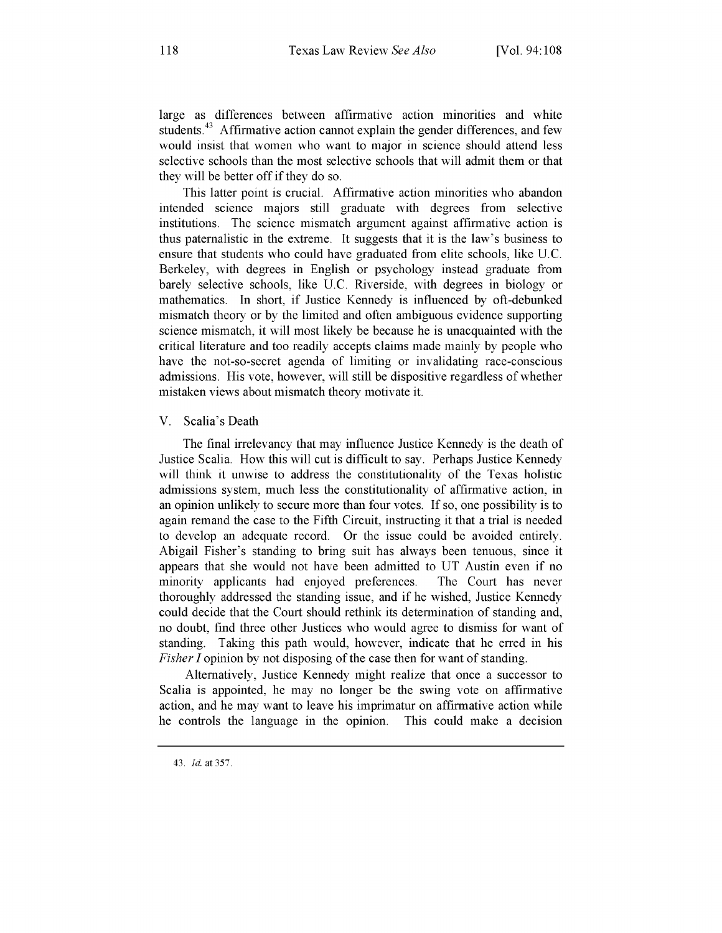large as differences between affirmative action minorities and white students.<sup>43</sup> Affirmative action cannot explain the gender differences, and few would insist that women who want to major in science should attend less selective schools than the most selective schools that will admit them or that they will be better off if they do so.

This latter point is crucial. Affirmative action minorities who abandon intended science majors still graduate with degrees from selective institutions. The science mismatch argument against affirmative action is thus paternalistic in the extreme. It suggests that it is the law's business to ensure that students who could have graduated from elite schools, like U.C. Berkeley, with degrees in English or psychology instead graduate from barely selective schools, like U.C. Riverside, with degrees in biology or mathematics. In short, if Justice Kennedy is influenced by oft-debunked mismatch theory or by the limited and often ambiguous evidence supporting science mismatch, it will most likely be because he is unacquainted with the critical literature and too readily accepts claims made mainly by people who have the not-so-secret agenda of limiting or invalidating race-conscious admissions. His vote, however, will still be dispositive regardless of whether mistaken views about mismatch theory motivate it.

#### V. Scalia's Death

The final irrelevancy that may influence Justice Kennedy is the death of Justice Scalia. How this will cut is difficult to say. Perhaps Justice Kennedy will think it unwise to address the constitutionality of the Texas holistic admissions system, much less the constitutionality of affirmative action, in an opinion unlikely to secure more than four votes. If so, one possibility is to again remand the case to the Fifth Circuit, instructing it that a trial is needed to develop an adequate record. Or the issue could be avoided entirely. Abigail Fisher's standing to bring suit has always been tenuous, since it appears that she would not have been admitted to UT Austin even if no minority applicants had enjoyed preferences. The Court has never thoroughly addressed the standing issue, and if he wished, Justice Kennedy could decide that the Court should rethink its determination of standing and, no doubt, find three other Justices who would agree to dismiss for want of standing. Taking this path would, however, indicate that he erred in his *Fisher I* opinion by not disposing of the case then for want of standing.

Alternatively, Justice Kennedy might realize that once a successor to Scalia is appointed, he may no longer be the swing vote on affirmative action, and he may want to leave his imprimatur on affirmative action while he controls the language in the opinion. This could make a decision

<sup>43.</sup> *Id.* at 357.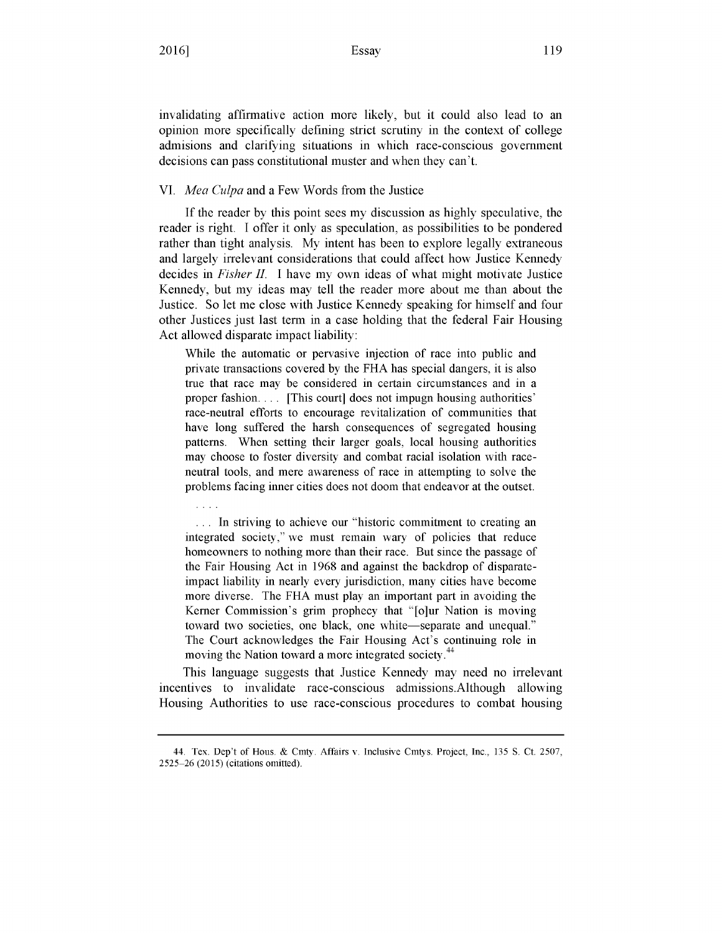$\mathbf{1}$ 

invalidating affirmative action more likely, but it could also lead to an opinion more specifically defining strict scrutiny in the context of college admisions and clarifying situations in which race-conscious government decisions can pass constitutional muster and when they can't.

#### VI. *Mea Culpa* and a Few Words from the Justice

If the reader by this point sees my discussion as highly speculative, the reader is right. I offer it only as speculation, as possibilities to be pondered rather than tight analysis. My intent has been to explore legally extraneous and largely irrelevant considerations that could affect how Justice Kennedy decides in *Fisher II.* I have my own ideas of what might motivate Justice Kennedy, but my ideas may tell the reader more about me than about the Justice. So let me close with Justice Kennedy speaking for himself and four other Justices just last term in a case holding that the federal Fair Housing Act allowed disparate impact liability:

While the automatic or pervasive injection of race into public and private transactions covered by the FHA has special dangers, it is also true that race may be considered in certain circumstances and in a proper fashion. ... [This court] does not impugn housing authorities' race-neutral efforts to encourage revitalization of communities that have long suffered the harsh consequences of segregated housing patterns. When setting their larger goals, local housing authorities may choose to foster diversity and combat racial isolation with raceneutral tools, and mere awareness of race in attempting to solve the problems facing inner cities does not doom that endeavor at the outset.

... In striving to achieve our "historic commitment to creating an integrated society," we must remain wary of policies that reduce homeowners to nothing more than their race. But since the passage of the Fair Housing Act in 1968 and against the backdrop of disparateimpact liability in nearly every jurisdiction, many cities have become more diverse. The FHA must play an important part in avoiding the Kerner Commission's grim prophecy that "[o]ur Nation is moving toward two societies, one black, one white—separate and unequal." The Court acknowledges the Fair Housing Act's continuing role in moving the Nation toward a more integrated society.<sup>44</sup>

This language suggests that Justice Kennedy may need no irrelevant incentives to invalidate race-conscious admissions.Although allowing Housing Authorities to use race-conscious procedures to combat housing

<sup>44.</sup> Tex. Dep't of Hous. & Cmty. Affairs v. Inclusive Cmtys. Project, Inc., 135 S. Ct. 2507, 2525 26 (2015) (citations omitted).